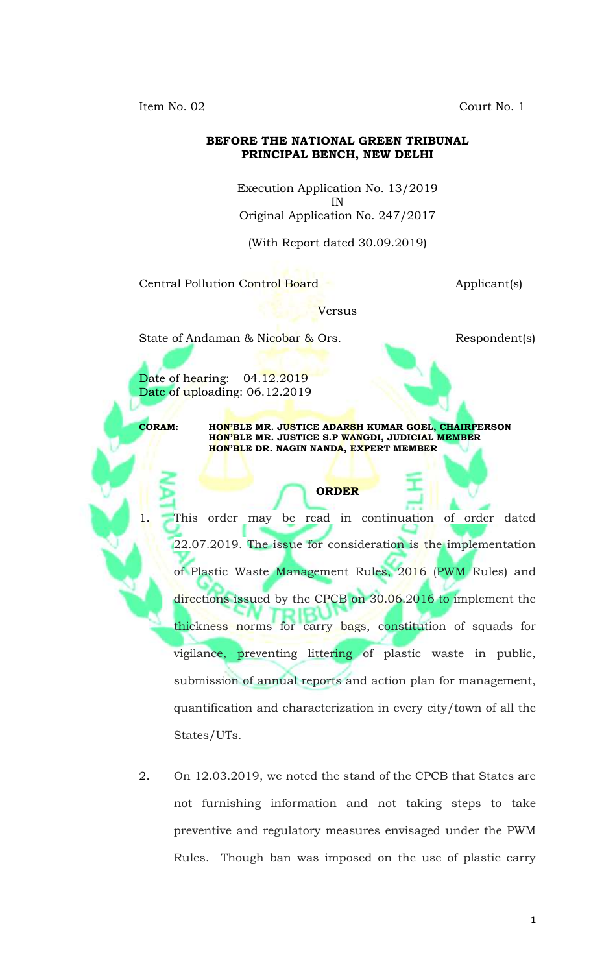Court No. 1

Item No. 02

### BEFORE THE NATIONAL GREEN TRIBUNAL PRINCIPAL BENCH, NEW DELHI

Execution Application No. 13/2019 ΙN Original Application No. 247/2017

(With Report dated 30.09.2019)

Central Pollution Control Board

Applicant(s)

Versus

State of Andaman & Nicobar & Ors.

Respondent(s)

Date of hearing: 04.12.2019 Date of uploading: 06.12.2019

**CORAM:** 

1.

HON'BLE MR. JUSTICE ADARSH KUMAR GOEL, CHAIRPERSON HON'BLE MR. JUSTICE S.P WANGDI, JUDICIAL MEMBER HON'BLE DR. NAGIN NANDA, EXPERT MEMBER

**ORDER** 

This order may be read in continuation of order dated 22.07.2019. The issue for consideration is the implementation of Plastic Waste Management Rules, 2016 (PWM Rules) and directions issued by the CPCB on 30.06.2016 to implement the thickness norms for carry bags, constitution of squads for vigilance, preventing littering of plastic waste in public, submission of annual reports and action plan for management, quantification and characterization in every city/town of all the States/UTs.

2. On 12.03.2019, we noted the stand of the CPCB that States are not furnishing information and not taking steps to take preventive and regulatory measures envisaged under the PWM Rules. Though ban was imposed on the use of plastic carry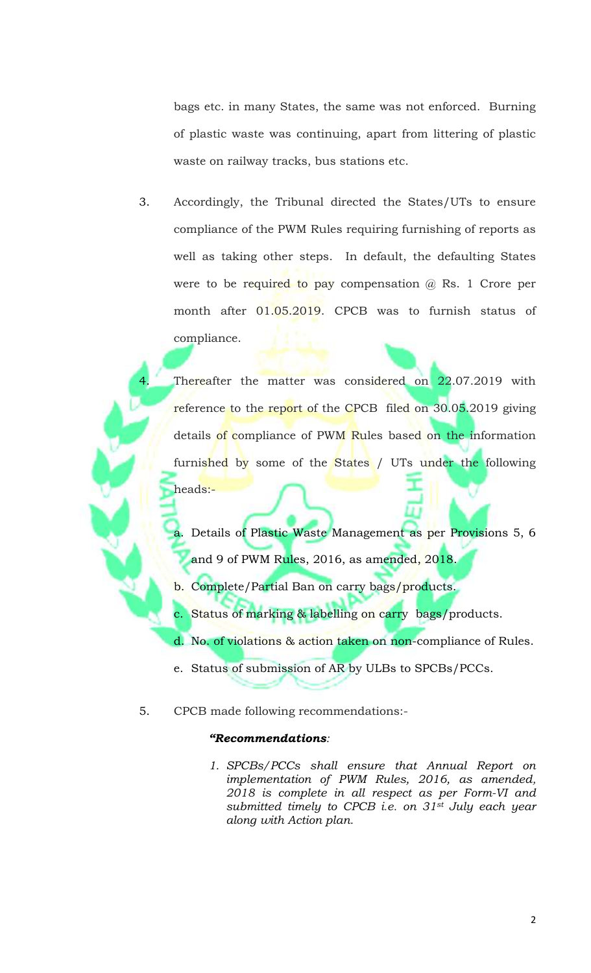bags etc. in many States, the same was not enforced. Burning of plastic waste was continuing, apart from littering of plastic waste on railway tracks, bus stations etc.

3. Accordingly, the Tribunal directed the States/UTs to ensure compliance of the PWM Rules requiring furnishing of reports as well as taking other steps. In default, the defaulting States were to be required to pay compensation  $@$  Rs. 1 Crore per month after 01.05.2019. CPCB was to furnish status of compliance.

Thereafter the matter was considered on 22.07.2019 with reference to the report of the CPCB filed on 30.05.2019 giving details of compliance of PWM Rules based on the information furnished by some of the States / UTs under the following heads:-

a. Details of Plastic Waste Management as per Provisions 5, 6 and 9 of PWM Rules, 2016, as amended, 2018.

b. Complete/Partial Ban on carry bags/products.

c. Status of marking & labelling on carry bags/products.

d. No. of violations & action taken on non-compliance of Rules.

e. Status of submission of AR by ULBs to SPCBs/PCCs.

CPCB made following recommendations:-5.

## "Recommendations:

1. SPCBs/PCCs shall ensure that Annual Report on implementation of PWM Rules, 2016, as amended, 2018 is complete in all respect as per Form-VI and submitted timely to CPCB i.e. on 31<sup>st</sup> July each year along with Action plan.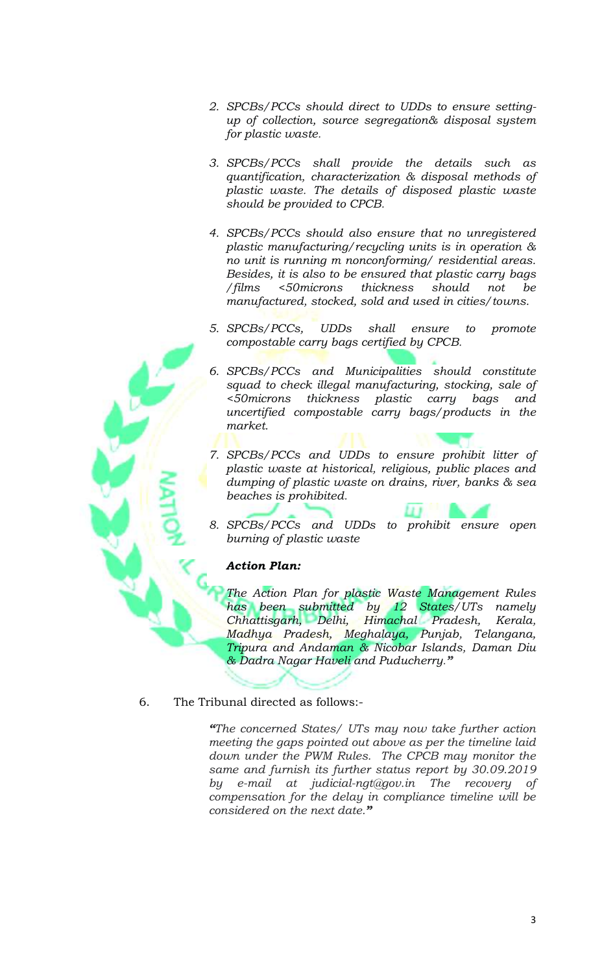- 2. SPCBs/PCCs should direct to UDDs to ensure settingup of collection, source segregation& disposal system for plastic waste.
- 3. SPCBs/PCCs shall provide the details such as quantification, characterization & disposal methods of plastic waste. The details of disposed plastic waste should be provided to CPCB.
- 4. SPCBs/PCCs should also ensure that no unregistered plastic manufacturing/recycling units is in operation  $\&$ no unit is running m nonconforming/ residential areas. Besides, it is also to be ensured that plastic carry bags <50microns thickness should / films not he manufactured, stocked, sold and used in cities/towns.
- 5. SPCBs/PCCs, **UDDs** shall ensure to promote compostable carry bags certified by CPCB.
- 6. SPCBs/PCCs and Municipalities should constitute squad to check illegal manufacturing, stocking, sale of <50microns thickness plastic carry bags and uncertified compostable carry bags/products in the market.
- 7. SPCBs/PCCs and UDDs to ensure prohibit litter of plastic waste at historical, religious, public places and dumping of plastic waste on drains, river, banks & sea beaches is prohibited.
- 8. SPCBs/PCCs and UDDs to prohibit ensure open burning of plastic waste

## **Action Plan:**

The Action Plan for plastic Waste Management Rules has been submitted by 12 States/UTs namely Chhattisgarh, Delhi, Himachal Pradesh, Kerala, Madhya Pradesh, Meghalaya, Punjab, Telangana, Tripura and Andaman & Nicobar Islands, Daman Diu & Dadra Nagar Haveli and Puducherry."

The Tribunal directed as follows:-6.

> "The concerned States/ UTs may now take further action meeting the gaps pointed out above as per the timeline laid down under the PWM Rules. The CPCB may monitor the same and furnish its further status report by 30.09.2019 by e-mail at judicial-ngt@gov.in The recovery of compensation for the delay in compliance timeline will be considered on the next date."

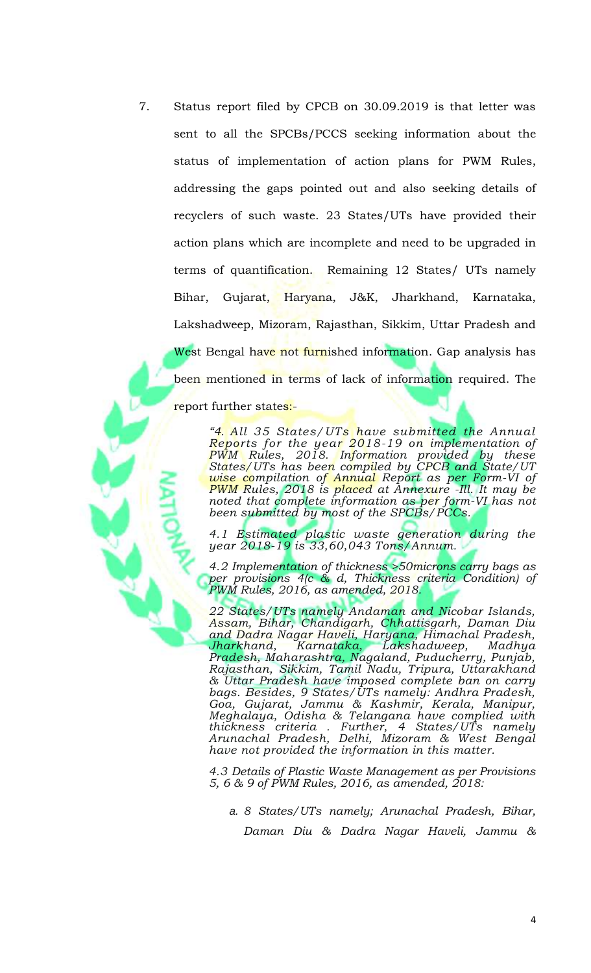$7.$ Status report filed by CPCB on 30.09.2019 is that letter was sent to all the SPCBs/PCCS seeking information about the status of implementation of action plans for PWM Rules, addressing the gaps pointed out and also seeking details of recyclers of such waste. 23 States/UTs have provided their action plans which are incomplete and need to be upgraded in terms of quantification. Remaining 12 States/ UTs namely Bihar, Gujarat, Haryana, J&K, Jharkhand, Karnataka, Lakshadweep, Mizoram, Rajasthan, Sikkim, Uttar Pradesh and West Bengal have not furnished information. Gap analysis has been mentioned in terms of lack of information required. The report further states:-

> "4. All 35 States/UTs have submitted the Annual<br>Reports for the year 2018-19 on implementation of<br>PWM Rules, 2018. Information provided by these<br>States/UTs has been compiled by CPCB and State/UT<br>wise compilation of Annual PWM Rules, 2018 is placed at Annexure -Ill. It may be<br>noted that complete information as per form-VI has not<br>been submitted by most of the SPCBs/PCCs.

> 4.1 Estimated plastic waste generation during the year 2018-19 is 33,60,043 Tons/Annum.

> 4.2 Implementation of thickness > 50 microns carry bags as per provisions 4(c & d, Thickness criteria Condition) of<br>PWM Rules, 2016, as amended, 2018.

> 22 States/UTs namely Andaman and Nicobar Islands, Assam, Bihar, Chandigarh, Chhattisgarh, Daman Diu<br>and Dadra Nagar Haveli, Haryana, Himachal Pradesh, ana Daara Nagar Havell, Haryana, Himachal Pradesh, Jharkhand, Karnataka, Lakshadweep, Madhya<br>Pradesh, Maharashtra, Nagaland, Puducherry, Punjab,<br>Rajasthan, Sikkim, Tamil Nadu, Tripura, Uttarakhand<br>& Uttar Pradesh have impo thickness criteria. Further, 4 States/UTs namely<br>Arunachal Pradesh, Delhi, Mizoram & West Bengal<br>have not provided the information in this matter.

> 4.3 Details of Plastic Waste Management as per Provisions 5, 6 & 9 of PWM Rules, 2016, as amended, 2018:

a. 8 States/UTs namely; Arunachal Pradesh, Bihar, Daman Diu & Dadra Nagar Haveli, Jammu &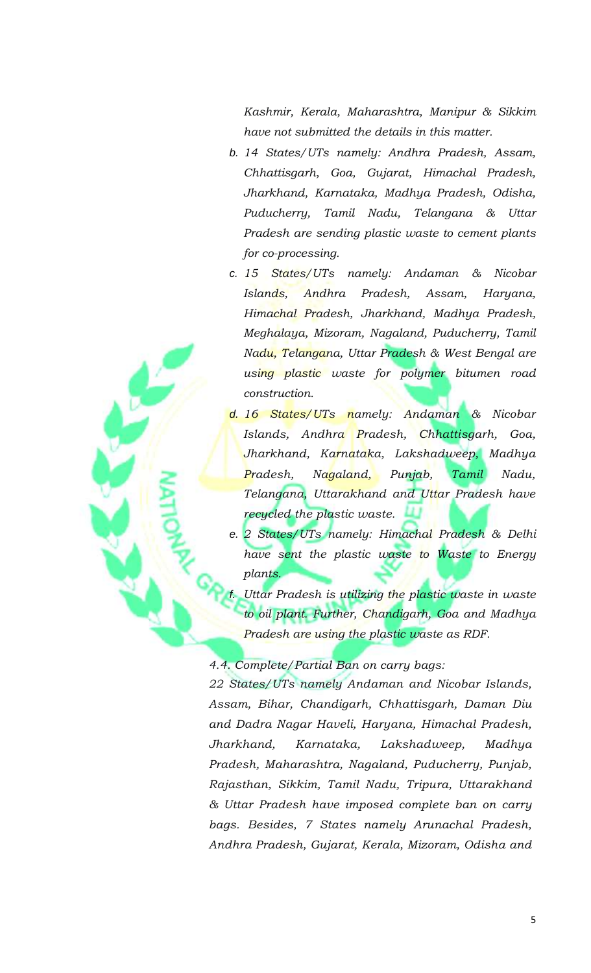Kashmir, Kerala, Maharashtra, Manipur & Sikkim have not submitted the details in this matter.

- b. 14 States/UTs namely: Andhra Pradesh, Assam, Chhattisgarh, Goa, Gujarat, Himachal Pradesh, Jharkhand, Karnataka, Madhya Pradesh, Odisha, Puducherry, Tamil Nadu, Telangana & Uttar Pradesh are sending plastic waste to cement plants for co-processing.
- c. 15 States/UTs namely: Andaman & Nicobar Islands, Andhra Pradesh, Assam, Haryana, Himachal Pradesh, Jharkhand, Madhya Pradesh, Meghalaya, Mizoram, Nagaland, Puducherry, Tamil Nadu, Telangana, Uttar Pradesh & West Bengal are using plastic waste for polymer bitumen road construction.
- d. 16 States/UTs namely: Andaman & Nicobar Islands, Andhra Pradesh, Chhattisgarh, Goa, Jharkhand, Karnataka, Lakshadweep, Madhya Nagaland, Punjab, Tamil Pradesh, Nadu, Telangana, Uttarakhand and Uttar Pradesh have recycled the plastic waste.
- e. 2 States/UTs namely: Himachal Pradesh & Delhi have sent the plastic waste to Waste to Energy plants.

Uttar Pradesh is utilizing the plastic waste in waste to oil plant. Further, Chandigarh, Goa and Madhya Pradesh are using the plastic waste as RDF.

### 4.4. Complete/Partial Ban on carry bags:

22 States/UTs namely Andaman and Nicobar Islands, Assam, Bihar, Chandigarh, Chhattisgarh, Daman Diu and Dadra Nagar Haveli, Haryana, Himachal Pradesh, Karnataka, Jharkhand, Lakshadweep, Madhya Pradesh, Maharashtra, Nagaland, Puducherry, Punjab, Rajasthan, Sikkim, Tamil Nadu, Tripura, Uttarakhand & Uttar Pradesh have imposed complete ban on carry bags. Besides, 7 States namely Arunachal Pradesh, Andhra Pradesh, Gujarat, Kerala, Mizoram, Odisha and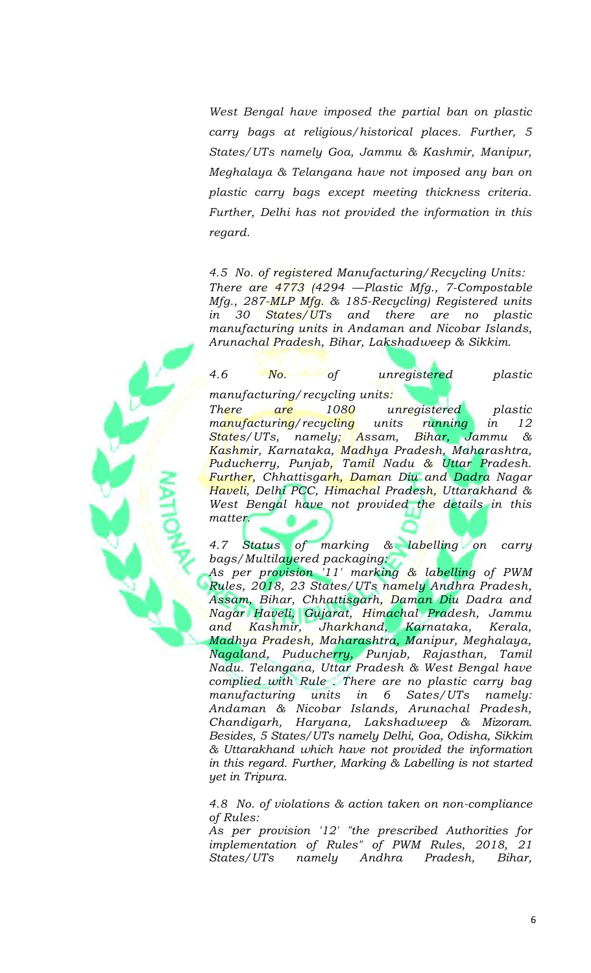West Bengal have imposed the partial ban on plastic carry bags at religious/historical places. Further, 5 States/UTs namely Goa, Jammu & Kashmir, Manipur, Meghalaya & Telangana have not imposed any ban on plastic carry bags except meeting thickness criteria. Further, Delhi has not provided the information in this regard.

4.5 No. of registered Manufacturing/Recycling Units: There are  $4773$  (4294 - Plastic Mfg., 7-Compostable Mfg., 287-MLP Mfg. & 185-Recycling) Registered units States/UTs there *in* 30 and are  $no$ plastic manufacturing units in Andaman and Nicobar Islands, Arunachal Pradesh, Bihar, Lakshadweep & Sikkim.

 $N_o$  of 4.6 unregistered plastic manufacturing/recycling units: plastic **There** 1080 unregistered are manufacturing/recycling running units 12 in States/UTs, namely; Assam, Bihar, Jammu & Kashmir, Karnataka, Madhya Pradesh, Maharashtra, Puducherry, Punjab, Tamil Nadu & Uttar Pradesh. Further, Chhattisgarh, Daman Diu and Dadra Nagar Haveli, Delhi PCC, Himachal Pradesh, Uttarakhand & West Bengal have not provided the details in this matter.

& labelling on 4.7 Status of marking carry bags/Multilayered packaging:

As per provision 11' marking & labelling of PWM Rules, 2018, 23 States/UTs namely Andhra Pradesh, Assam, Bihar, Chhattisgarh, Daman Diu Dadra and Nagar Haveli, Gujarat, Himachal Pradesh, Jammu Jharkhand, Karnataka, Kashmir, and Kerala, Madhya Pradesh, Maharashtra, Manipur, Meghalaya, Nagaland, Puducherry, Punjab, Rajasthan, Tamil<br>Nadu. Telangana, Uttar Pradesh & West Bengal have complied with Rule. There are no plastic carry bag manufacturing units  $in$ 6 Sates/UTs namelu: Andaman & Nicobar Islands, Arunachal Pradesh, Chandigarh, Haryana, Lakshadweep & Mizoram. Besides, 5 States/UTs namely Delhi, Goa, Odisha, Sikkim & Uttarakhand which have not provided the information in this regard. Further, Marking & Labelling is not started yet in Tripura.

4.8 No. of violations & action taken on non-compliance of Rules:

As per provision '12' "the prescribed Authorities for implementation of Rules" of PWM Rules, 2018, 21 States/UTs namely Andhra Pradesh, Bihar,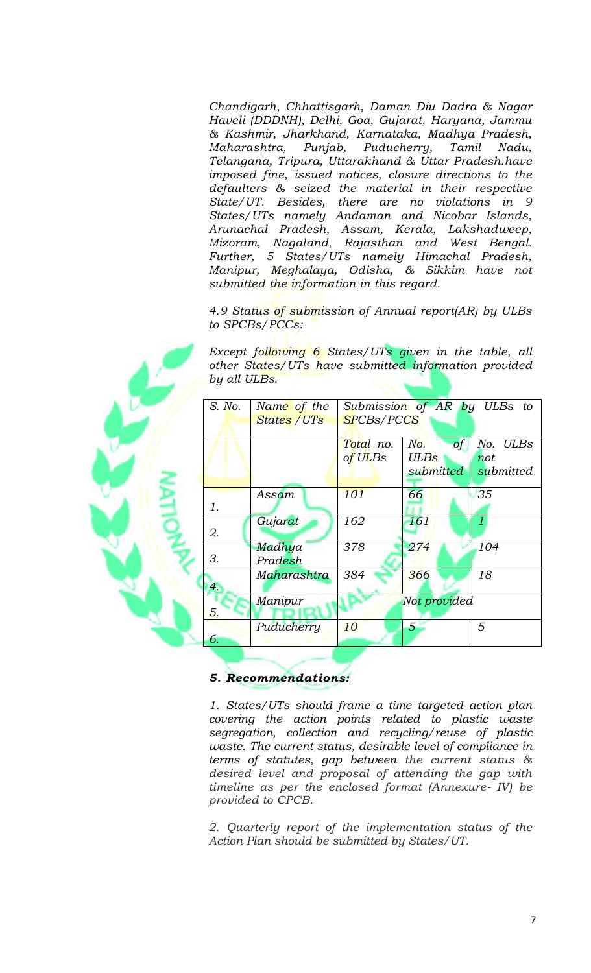Chandigarh, Chhattisgarh, Daman Diu Dadra & Nagar Haveli (DDDNH), Delhi, Goa, Gujarat, Haryana, Jammu & Kashmir, Jharkhand, Karnataka, Madhya Pradesh, Maharashtra, Punjab, Puducherry, Tamil Nadu, Telangana, Tripura, Uttarakhand & Uttar Pradesh.have imposed fine, issued notices, closure directions to the defaulters & seized the material in their respective State/UT. Besides, there are no violations in 9 States/UTs namely Andaman and Nicobar Islands, Arunachal Pradesh, Assam, Kerala, Lakshadweep, Mizoram, Nagaland, Rajasthan and West Bengal. Further, 5 States/UTs namely Himachal Pradesh, Manipur, Meghalaya, Odisha, & Sikkim have not submitted the information in this regard.

4.9 Status of submission of Annual report(AR) by ULBs to SPCBs/PCCs:

Except following 6 States/UTs given in the table, all other States/UTs have submitted information provided by all ULBs.

| S. No. | Name of the  | Submission of AR by ULBs to |              |                    |  |  |
|--------|--------------|-----------------------------|--------------|--------------------|--|--|
|        | States / UTs | <b>SPCBs/PCCS</b>           |              |                    |  |  |
|        |              |                             |              |                    |  |  |
|        |              | Total no.                   | of<br>No.    | No.<br><b>ULBs</b> |  |  |
|        |              | of ULBs                     | <b>ULBs</b>  | not                |  |  |
|        |              |                             | submitted    | submitted          |  |  |
|        |              |                             |              |                    |  |  |
|        | Assam        | 101                         | 66           | 35                 |  |  |
| 1.     |              |                             |              |                    |  |  |
|        | Gujarat      | 162                         | 161          | $\mathcal{I}$      |  |  |
| 2.     |              |                             |              |                    |  |  |
|        | Madhya       | 378                         | 274          | 104                |  |  |
| 3.     | Pradesh      |                             |              |                    |  |  |
|        | Maharashtra  | 384                         | 366          | 18                 |  |  |
| 4.     |              |                             |              |                    |  |  |
|        | Manipur      |                             | Not provided |                    |  |  |
| 5.     |              |                             |              |                    |  |  |
|        | Puducherry   | 10                          | 5            | 5                  |  |  |
| 6.     |              |                             |              |                    |  |  |
|        |              |                             |              |                    |  |  |

5. Recommendations:

1. States/UTs should frame a time targeted action plan covering the action points related to plastic waste<br>segregation, collection and recycling/reuse of plastic waste. The current status, desirable level of compliance in terms of statutes, gap between the current status & desired level and proposal of attending the gap with timeline as per the enclosed format (Annexure- IV) be provided to CPCB.

2. Quarterly report of the implementation status of the Action Plan should be submitted by States/UT.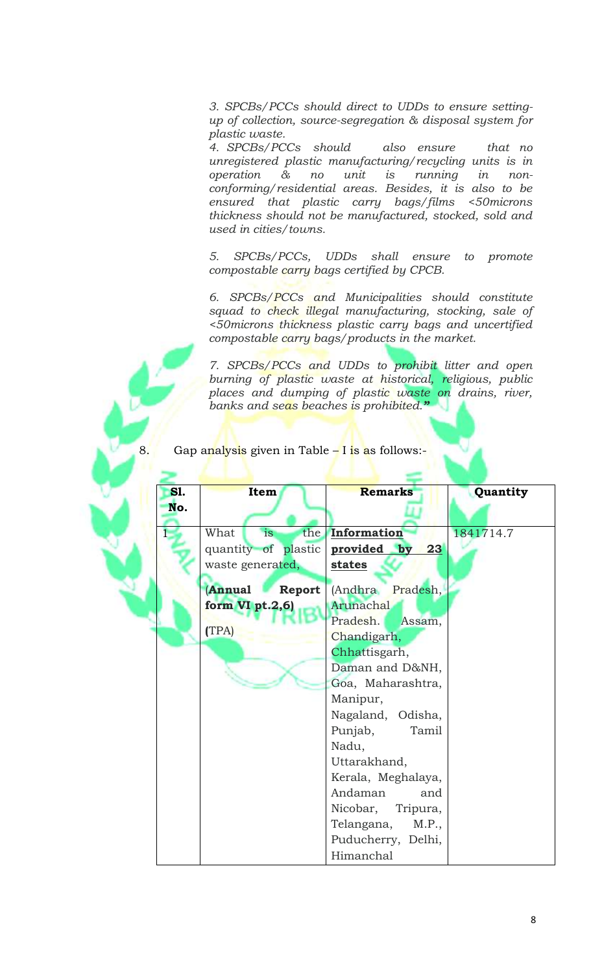3. SPCBs/PCCs should direct to UDDs to ensure settingup of collection, source-segregation & disposal system for plastic waste.

4. SPCBs/PCCs should also ensure that no unregistered plastic manufacturing/recycling units is in operation & no unit  $i$ s running in  $non$ conforming/residential areas. Besides, it is also to be ensured that plastic carry bags/films <50microns thickness should not be manufactured, stocked, sold and used in cities/towns.

SPCBs/PCCs, UDDs shall ensure to promote 5. compostable carry bags certified by CPCB.

6. SPCBs/PCCs and Municipalities should constitute squad to check illegal manufacturing, stocking, sale of <50microns thickness plastic carry bags and uncertified compostable carry bags/products in the market.

7. SPCBs/PCCs and UDDs to prohibit litter and open burning of plastic waste at historical, religious, public places and dumping of plastic waste on drains, river,<br>banks and seas beaches is prohibited."

# Gap analysis given in Table - I is as follows:-

| <b>S1.</b> | Item                           | <b>Remarks</b>      | Quantity  |
|------------|--------------------------------|---------------------|-----------|
| No.        |                                |                     |           |
|            |                                |                     |           |
|            | What<br>is                     | the Information     | 1841714.7 |
|            | quantity of plastic            | provided by<br>23   |           |
|            | waste generated,               | states              |           |
|            | <b>Annual</b><br><b>Report</b> | (Andhra Pradesh,    |           |
|            | form VI pt.2,6)                | Arunachal           |           |
|            |                                | Pradesh.<br>Assam,  |           |
|            | (TPA)                          | Chandigarh,         |           |
|            |                                | Chhattisgarh,       |           |
|            |                                |                     |           |
|            |                                | Daman and D&NH,     |           |
|            |                                | Goa, Maharashtra,   |           |
|            |                                | Manipur,            |           |
|            |                                | Nagaland, Odisha,   |           |
|            |                                | Punjab,<br>Tamil    |           |
|            |                                | Nadu,               |           |
|            |                                | Uttarakhand,        |           |
|            |                                | Kerala, Meghalaya,  |           |
|            |                                | Andaman<br>and      |           |
|            |                                | Nicobar, Tripura,   |           |
|            |                                | Telangana,<br>M.P., |           |
|            |                                | Puducherry, Delhi,  |           |
|            |                                | Himanchal           |           |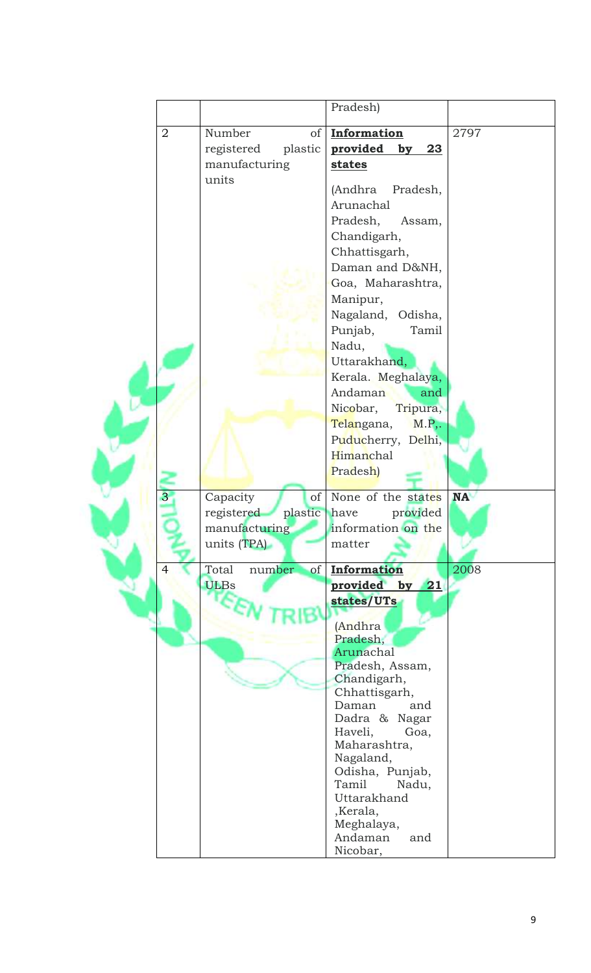|                |                                  | Pradesh)                         |           |
|----------------|----------------------------------|----------------------------------|-----------|
| $\overline{2}$ | Number<br>of                     | Information                      | 2797      |
|                | registered<br>plastic            | provided<br>23<br>by             |           |
|                | manufacturing                    | states                           |           |
|                | units                            |                                  |           |
|                |                                  | (Andhra<br>Pradesh,              |           |
|                |                                  | Arunachal                        |           |
|                |                                  | Pradesh,<br>Assam,               |           |
|                |                                  | Chandigarh,                      |           |
|                |                                  | Chhattisgarh,                    |           |
|                |                                  | Daman and D&NH,                  |           |
|                |                                  | Goa, Maharashtra,                |           |
|                |                                  | Manipur,                         |           |
|                |                                  | Nagaland, Odisha,                |           |
|                |                                  | Punjab,<br>Tamil                 |           |
|                |                                  | Nadu,                            |           |
|                |                                  | Uttarakhand,                     |           |
|                |                                  | Kerala. Meghalaya,               |           |
|                |                                  | Andaman<br>and                   |           |
|                |                                  | Nicobar,<br>Tripura,             |           |
|                |                                  | Telangana,<br>M.P,               |           |
|                |                                  | Puducherry, Delhi,               |           |
|                |                                  | Himanchal                        |           |
|                |                                  | Pradesh)                         |           |
| 3              | Capacity<br>of                   | None of the states               | <b>NA</b> |
|                | registered<br>plastic have       | provided                         |           |
|                | manufacturing                    | information on the               |           |
|                | units (TPA)                      | matter                           |           |
| $\overline{4}$ | Total<br>number<br><sub>of</sub> | <b>Information</b>               | 2008      |
|                | <b>ULBs</b>                      | provided by<br>21                |           |
|                |                                  | states/UTs                       |           |
|                |                                  |                                  |           |
|                |                                  | (Andhra                          |           |
|                |                                  | Pradesh,<br>Arunachal            |           |
|                |                                  | Pradesh, Assam,                  |           |
|                |                                  | Chandigarh,                      |           |
|                |                                  | Chhattisgarh,                    |           |
|                |                                  | Daman<br>and                     |           |
|                |                                  | Dadra & Nagar<br>Haveli,<br>Goa, |           |
|                |                                  | Maharashtra,                     |           |
|                |                                  | Nagaland,                        |           |
|                |                                  | Odisha, Punjab,                  |           |
|                |                                  | Tamil<br>Nadu,                   |           |
|                |                                  | Uttarakhand<br>,Kerala,          |           |
|                |                                  | Meghalaya,                       |           |
|                |                                  | Andaman<br>and                   |           |
|                |                                  | Nicobar,                         |           |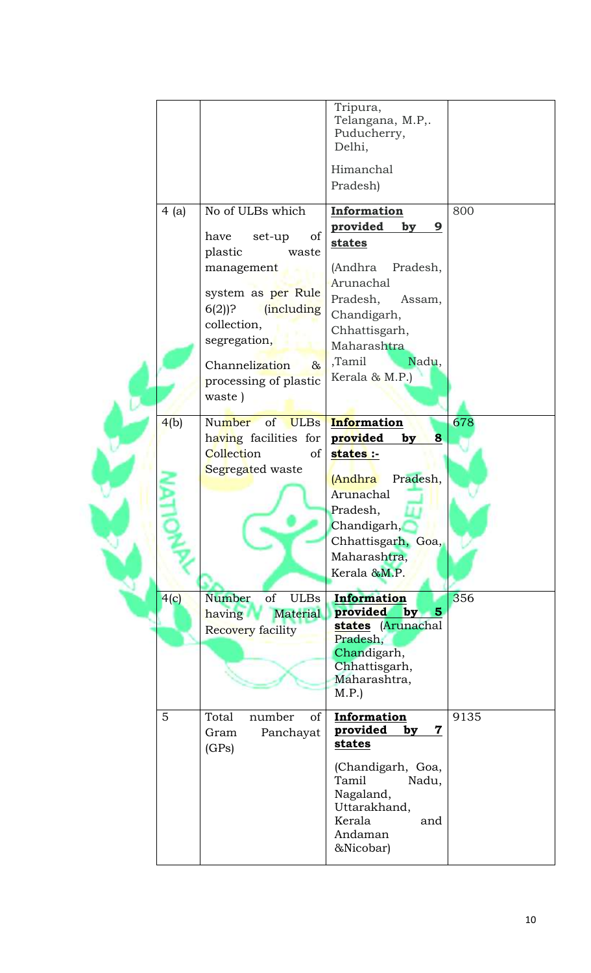|  |      |                             | Tripura,                                                       |      |
|--|------|-----------------------------|----------------------------------------------------------------|------|
|  |      |                             | Telangana, M.P,.                                               |      |
|  |      |                             | Puducherry,                                                    |      |
|  |      |                             | Delhi,                                                         |      |
|  |      |                             | Himanchal                                                      |      |
|  |      |                             |                                                                |      |
|  |      |                             | Pradesh)                                                       |      |
|  | 4(a) | No of ULBs which            | Information                                                    | 800  |
|  |      |                             | provided<br>by<br>9                                            |      |
|  |      | of<br>set-up<br>have        | <b>states</b>                                                  |      |
|  |      | plastic<br>waste            |                                                                |      |
|  |      | management                  | (Andhra<br>Pradesh,                                            |      |
|  |      | system as per Rule          | Arunachal                                                      |      |
|  |      | (including<br>$6(2)$ ?      | Pradesh,<br>Assam,                                             |      |
|  |      |                             | Chandigarh,                                                    |      |
|  |      | collection,                 | Chhattisgarh,                                                  |      |
|  |      | segregation,                | Maharashtra                                                    |      |
|  |      | Channelization<br>$\alpha$  | ,Tamil<br>Nadu,                                                |      |
|  |      | processing of plastic       | Kerala & M.P.)                                                 |      |
|  |      | waste)                      |                                                                |      |
|  |      |                             |                                                                |      |
|  | 4(b) | Number<br>of<br><b>ULBs</b> | Information                                                    | 678  |
|  |      | having facilities for       | provided<br>8<br>by                                            |      |
|  |      | Collection<br>of            | states :-                                                      |      |
|  |      | Segregated waste            |                                                                |      |
|  |      |                             | Pradesh,<br><b>(Andhra</b>                                     |      |
|  |      |                             | Arunachal                                                      |      |
|  |      |                             | Pradesh,                                                       |      |
|  |      |                             | Chandigarh,                                                    |      |
|  |      |                             | Chhattisgarh, Goa,                                             |      |
|  |      |                             | Maharashtra,                                                   |      |
|  |      |                             | Kerala &M.P.                                                   |      |
|  |      |                             |                                                                |      |
|  | 4(c) | of<br><b>ULBs</b><br>Number | Information                                                    | 356  |
|  |      | <b>Material</b><br>having   | provided<br>by<br>$\overline{\mathbf{5}}$<br>states (Arunachal |      |
|  |      | Recovery facility           | Pradesh,                                                       |      |
|  |      |                             | Chandigarh,                                                    |      |
|  |      |                             | Chhattisgarh,                                                  |      |
|  |      |                             | Maharashtra,                                                   |      |
|  |      |                             | M.P.                                                           |      |
|  | 5    | number<br>Total<br>of       | Information                                                    | 9135 |
|  |      |                             | provided<br>7<br>by                                            |      |
|  |      | Panchayat<br>Gram           | states                                                         |      |
|  |      | (GPs)                       |                                                                |      |
|  |      |                             | (Chandigarh, Goa,                                              |      |
|  |      |                             | Tamil<br>Nadu,                                                 |      |
|  |      |                             | Nagaland,                                                      |      |
|  |      |                             | Uttarakhand,                                                   |      |
|  |      |                             | Kerala<br>and<br>Andaman                                       |      |
|  |      |                             | &Nicobar)                                                      |      |
|  |      |                             |                                                                |      |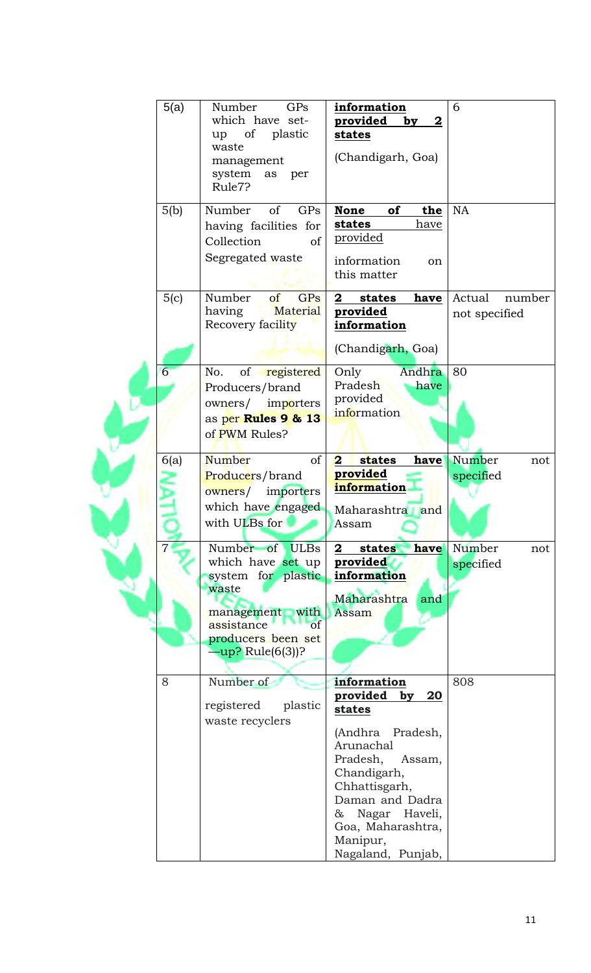|  | 5(a) | GPs<br>Number<br>which have set-<br>of<br>plastic<br>up<br>waste<br>management<br>system<br>as<br>per<br>Rule7?                                           | information<br>provided<br>$\bf{2}$<br>by<br>states<br>(Chandigarh, Goa)                                                                                                                                                               | 6                                 |
|--|------|-----------------------------------------------------------------------------------------------------------------------------------------------------------|----------------------------------------------------------------------------------------------------------------------------------------------------------------------------------------------------------------------------------------|-----------------------------------|
|  | 5(b) | GPs<br>Number<br>of<br>having facilities for<br>Collection<br><sub>of</sub><br>Segregated waste                                                           | of<br><b>None</b><br>the<br>states<br>have<br><u>provided</u><br>information<br>on<br>this matter                                                                                                                                      | <b>NA</b>                         |
|  | 5(c) | Number<br>of<br>GPs<br>Material<br>having<br>Recovery facility                                                                                            | $\mathbf{2}$<br>have<br>states<br>provided<br>information<br>(Chandigarh, Goa)                                                                                                                                                         | Actual<br>number<br>not specified |
|  | 6    | of registered<br>No.<br>Producers/brand<br>owners/ importers<br>as per Rules 9 & 13<br>of PWM Rules?                                                      | Andhra<br>Only<br>Pradesh<br>have<br>provided<br>information                                                                                                                                                                           | 80                                |
|  | 6(a) | Number<br><sub>of</sub><br>Producers/brand<br>owners/<br>importers<br>which have engaged<br>with ULBs for                                                 | $\overline{\mathbf{2}}$<br>states<br>have<br>provided<br>information<br>Maharashtra and<br>Assam                                                                                                                                       | Number<br>not<br>specified        |
|  |      | Number of ULBs<br>which have set up<br>system for plastic<br>waste<br>management with<br>assistance<br>of<br>producers been set<br>$-\mu p$ ? Rule(6(3))? | $\mathbf{2}$<br>states<br>have<br>provided<br>information<br>Maharashtra<br>and<br>Assam                                                                                                                                               | Number<br>not<br>specified        |
|  | 8    | Number of<br>plastic<br>registered<br>waste recyclers                                                                                                     | information<br>provided<br>by<br>20<br>states<br>(Andhra Pradesh,<br>Arunachal<br>Pradesh,<br>Assam,<br>Chandigarh,<br>Chhattisgarh,<br>Daman and Dadra<br>Nagar Haveli,<br>$\&$<br>Goa, Maharashtra,<br>Manipur,<br>Nagaland, Punjab, | 808                               |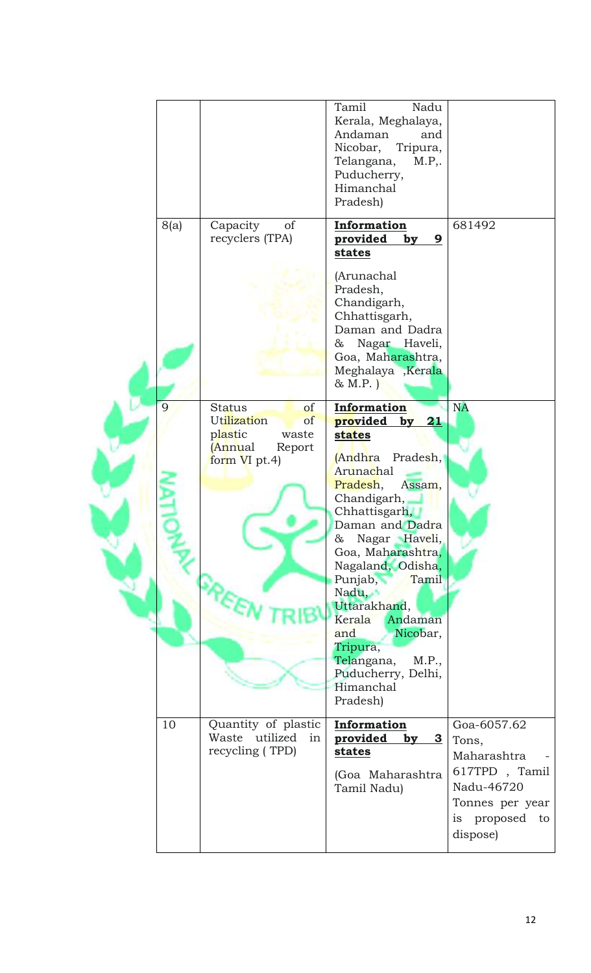|  |      |                                                                                                    | Tamil<br>Nadu<br>Kerala, Meghalaya,<br>Andaman<br>and<br>Nicobar,<br>Tripura,<br>Telangana,<br>M.P.,<br>Puducherry,<br>Himanchal<br>Pradesh)                                                                                                                                                                                                                                                          |                                                                                                                        |
|--|------|----------------------------------------------------------------------------------------------------|-------------------------------------------------------------------------------------------------------------------------------------------------------------------------------------------------------------------------------------------------------------------------------------------------------------------------------------------------------------------------------------------------------|------------------------------------------------------------------------------------------------------------------------|
|  | 8(a) | Capacity<br>of<br>recyclers (TPA)                                                                  | Information<br>provided<br>9<br>by<br><u>states</u><br>(Arunachal<br>Pradesh,<br>Chandigarh,<br>Chhattisgarh,<br>Daman and Dadra<br>Nagar Haveli,<br>&<br>Goa, Maharashtra,<br>Meghalaya , Kerala<br>& M.P.                                                                                                                                                                                           | 681492                                                                                                                 |
|  | 9    | <b>Status</b><br>of<br>Utilization<br>of<br>plastic<br>waste<br>(Annual<br>Report<br>form VI pt.4) | Information<br>provided<br>by<br>21<br><b>states</b><br>(Andhra Pradesh,<br>Arunachal<br>Pradesh,<br>Assam,<br>Chandigarh,<br>Chhattisgarh,<br>Daman and Dadra<br>Nagar Haveli,<br>&<br>Goa, Maharashtra,<br>Nagaland, Odisha,<br>Punjab,<br>Tamil<br>Nadu,<br>Uttarakhand,<br>Kerala<br>Andaman<br>Nicobar,<br>and<br>Tripura,<br>Telangana,<br>M.P.,<br>Puducherry, Delhi,<br>Himanchal<br>Pradesh) | <b>NA</b>                                                                                                              |
|  | 10   | Quantity of plastic<br>Waste utilized<br>in<br>recycling (TPD)                                     | Information<br>provided<br>$\overline{\mathbf{3}}$<br>by<br>states<br>(Goa Maharashtra<br>Tamil Nadu)                                                                                                                                                                                                                                                                                                 | Goa-6057.62<br>Tons,<br>Maharashtra<br>617TPD, Tamil<br>Nadu-46720<br>Tonnes per year<br>proposed to<br>is<br>dispose) |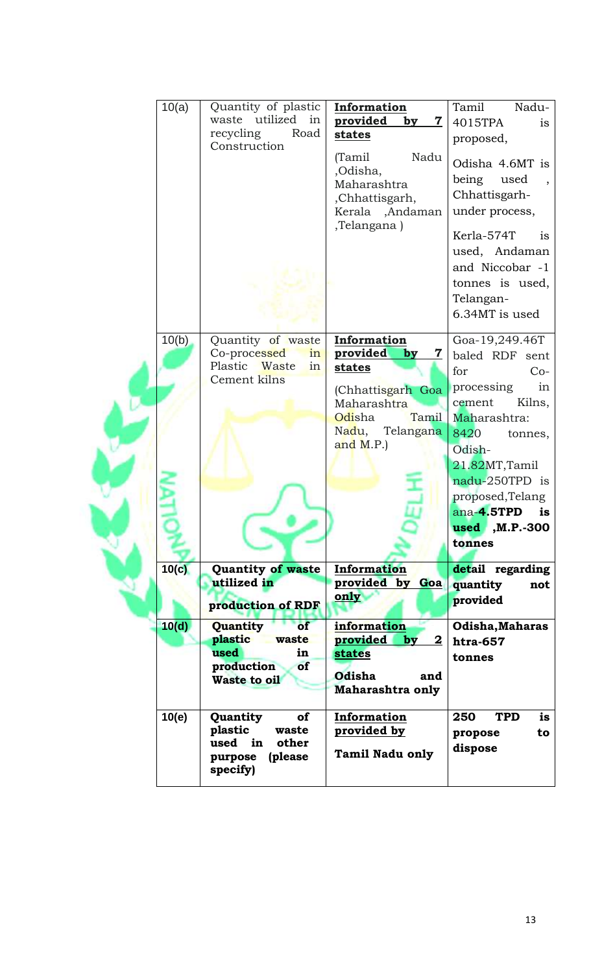|  | 10(a) | Quantity of plastic<br>utilized<br>waste<br>in<br>recycling<br>Road<br>Construction              | <b>Information</b><br>provided<br>7<br>by<br>states<br>(Tamil<br>Nadu<br>,Odisha,<br>Maharashtra<br>,Chhattisgarh,<br>Kerala ,Andaman<br>,Telangana) | Tamil<br>Nadu-<br>4015TPA<br>is<br>proposed,<br>Odisha 4.6MT is<br>being<br>used<br>Chhattisgarh-<br>under process,<br>Kerla-574T<br>is<br>used, Andaman<br>and Niccobar -1<br>tonnes is used,<br>Telangan-<br>6.34MT is used                    |
|--|-------|--------------------------------------------------------------------------------------------------|------------------------------------------------------------------------------------------------------------------------------------------------------|--------------------------------------------------------------------------------------------------------------------------------------------------------------------------------------------------------------------------------------------------|
|  | 10(b) | Quantity of waste<br>Co-processed<br>in<br>Plastic Waste<br>in<br>Cement kilns                   | Information<br>provided<br>7<br>by<br>states<br>(Chhattisgarh Goa<br>Maharashtra<br>Tamil<br>Odisha<br>Nadu,<br>Telangana<br>and $M.P.$ )            | Goa-19,249.46T<br>baled RDF sent<br>for<br>$Co-$<br>processing<br>in<br>Kilns,<br>cement<br>Maharashtra:<br>8420<br>tonnes,<br>Odish-<br>21.82MT, Tamil<br>nadu-250TPD is<br>proposed, Telang<br>ana-4.5TPD<br>is<br>$used$ , M.P.-300<br>tonnes |
|  | 10(c) | Quantity of waste<br>utilized in<br>production of RDF                                            | <b>Information</b><br>provided by<br>Goa<br>only                                                                                                     | detail regarding<br>quantity<br>not<br>provided                                                                                                                                                                                                  |
|  | 10(d) | Quantity<br>of<br>plastic<br>waste<br>used<br>in<br>production<br>of<br><b>Waste to oil</b>      | information<br>provided<br>$\mathbf{2}$<br>by<br><b>states</b><br><b>Odisha</b><br>and<br>Maharashtra only                                           | Odisha, Maharas<br>htra-657<br>tonnes                                                                                                                                                                                                            |
|  | 10(e) | <b>of</b><br>Quantity<br>plastic<br>waste<br>used in<br>other<br>(please)<br>purpose<br>specify) | Information<br>provided by<br><b>Tamil Nadu only</b>                                                                                                 | 250<br><b>TPD</b><br>is<br>propose<br>to<br>dispose                                                                                                                                                                                              |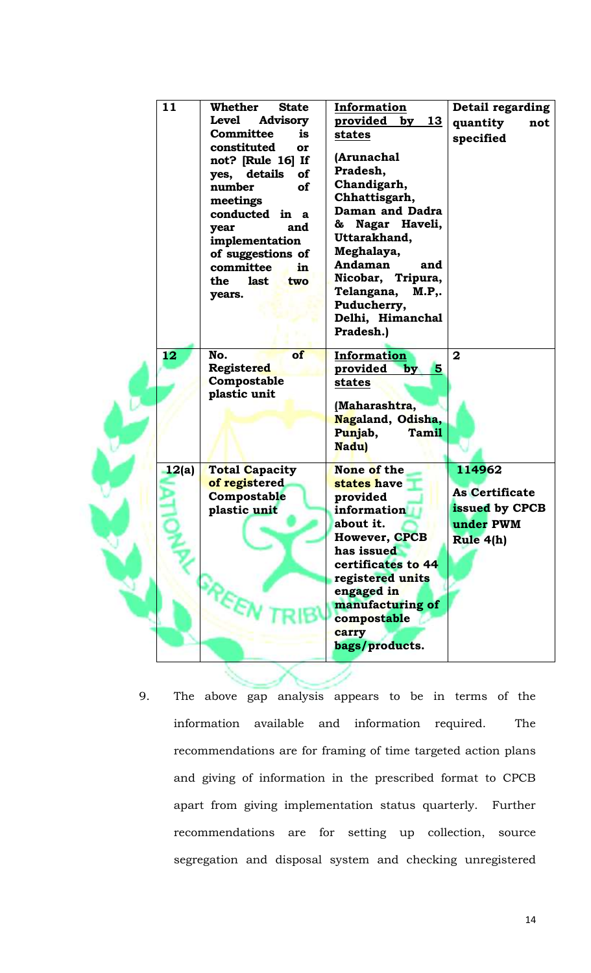| 11    | <b>Whether</b><br><b>State</b>                                      | Information             | Detail regarding      |
|-------|---------------------------------------------------------------------|-------------------------|-----------------------|
|       | <b>Level</b><br><b>Advisory</b>                                     | provided<br>by $13$     | quantity<br>not       |
|       | <b>Committee</b><br>is                                              | states                  | specified             |
|       | constituted<br>or<br>not? [Rule 16] If<br>yes, details<br><b>of</b> | (Arunachal<br>Pradesh,  |                       |
|       | number<br>of                                                        | Chandigarh,             |                       |
|       | meetings                                                            | Chhattisgarh,           |                       |
|       | conducted in a                                                      | Daman and Dadra         |                       |
|       | and<br>year                                                         | Nagar Haveli,<br>&      |                       |
|       | implementation                                                      | Uttarakhand,            |                       |
|       | of suggestions of                                                   | Meghalaya,              |                       |
|       | committee<br>in                                                     | Andaman<br>and          |                       |
|       | <b>last</b><br>the<br>two                                           | Nicobar, Tripura,       |                       |
|       | years.                                                              | Telangana,<br>M.P.,     |                       |
|       |                                                                     | Puducherry,             |                       |
|       |                                                                     | Delhi, Himanchal        |                       |
|       |                                                                     | Pradesh.)               |                       |
| 12    | of<br>No.                                                           | Information             | $\mathbf{2}$          |
|       | <b>Registered</b>                                                   | 5<br>provided<br>by     |                       |
|       | Compostable                                                         | states                  |                       |
|       | plastic unit                                                        |                         |                       |
|       |                                                                     | (Maharashtra,           |                       |
|       |                                                                     | Nagaland, Odisha,       |                       |
|       |                                                                     | Punjab,<br><b>Tamil</b> |                       |
|       |                                                                     | Nadu)                   |                       |
| 12(a) | <b>Total Capacity</b>                                               | None of the             | 114962                |
|       | of registered                                                       | states have             | <b>As Certificate</b> |
|       | Compostable                                                         | provided                |                       |
|       | plastic unit                                                        | information             | issued by CPCB        |
|       |                                                                     | about it.               | under PWM             |
|       |                                                                     | <b>However, CPCB</b>    | Rule 4(h)             |
|       |                                                                     | has issued              |                       |
|       |                                                                     | certificates to 44      |                       |
|       |                                                                     | registered units        |                       |
|       |                                                                     | engaged in              |                       |
|       |                                                                     | manufacturing of        |                       |
|       |                                                                     | compostable             |                       |
|       |                                                                     | carry                   |                       |
|       |                                                                     | bags/products.          |                       |

The above gap analysis appears to be in terms of the 9. information available and information required. The recommendations are for framing of time targeted action plans and giving of information in the prescribed format to CPCB apart from giving implementation status quarterly. Further recommendations are for setting up collection, source segregation and disposal system and checking unregistered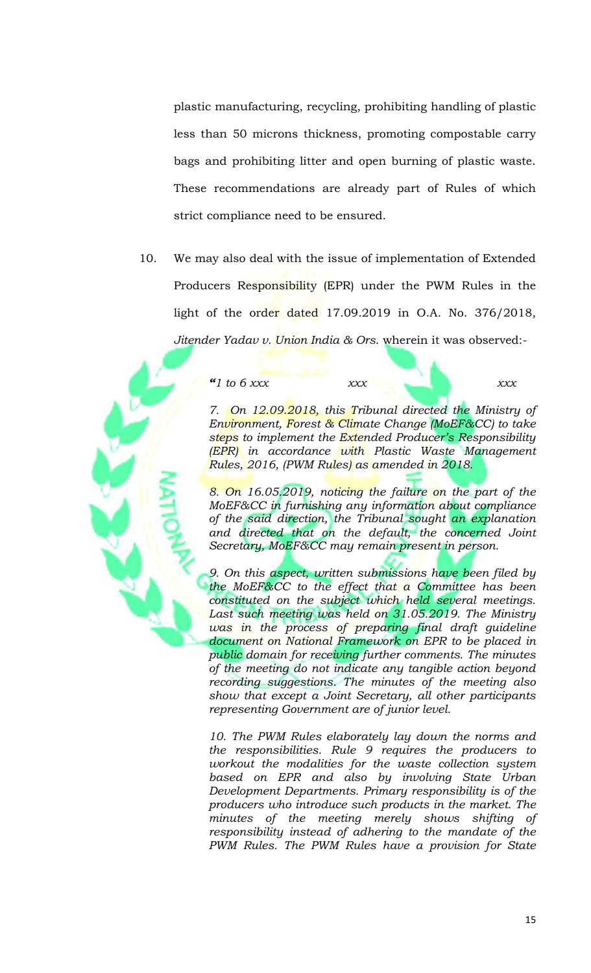plastic manufacturing, recycling, prohibiting handling of plastic less than 50 microns thickness, promoting compostable carry bags and prohibiting litter and open burning of plastic waste. These recommendations are already part of Rules of which strict compliance need to be ensured.

10. We may also deal with the issue of implementation of Extended Producers Responsibility (EPR) under the PWM Rules in the light of the order dated 17.09.2019 in O.A. No. 376/2018, Jitender Yadav v. Union India & Ors. wherein it was observed:-

" $1$  to 6 xxx

xxx

 $xxx$ 

7. On 12.09.2018, this Tribunal directed the Ministry of Environment, Forest & Climate Change (MoEF&CC) to take steps to implement the Extended Producer's Responsibility **(EPR)** in accordance with Plastic Waste Management Rules, 2016, (PWM Rules) as amended in 2018.

8. On 16.05.2019, noticing the failure on the part of the MoEF&CC in furnishing any information about compliance of the said direction, the Tribunal sought an explanation and directed that on the default, the concerned Joint Secretary, MoEF&CC may remain present in person.

9. On this aspect, written submissions have been filed by the MoEF&CC to the effect that  $\alpha$  Committee has been constituted on the subject which held several meetings. Last such meeting was held on 31.05.2019. The Ministry was in the process of preparing final draft guideline document on National Framework on EPR to be placed in public domain for receiving further comments. The minutes of the meeting do not indicate any tangible action beyond recording suggestions. The minutes of the meeting also show that except a Joint Secretary, all other participants representing Government are of junior level.

10. The PWM Rules elaborately lay down the norms and the responsibilities. Rule 9 requires the producers to workout the modalities for the waste collection system based on EPR and also by involving State Urban Development Departments. Primary responsibility is of the producers who introduce such products in the market. The minutes of the meeting merely shows shifting of responsibility instead of adhering to the mandate of the PWM Rules. The PWM Rules have a provision for State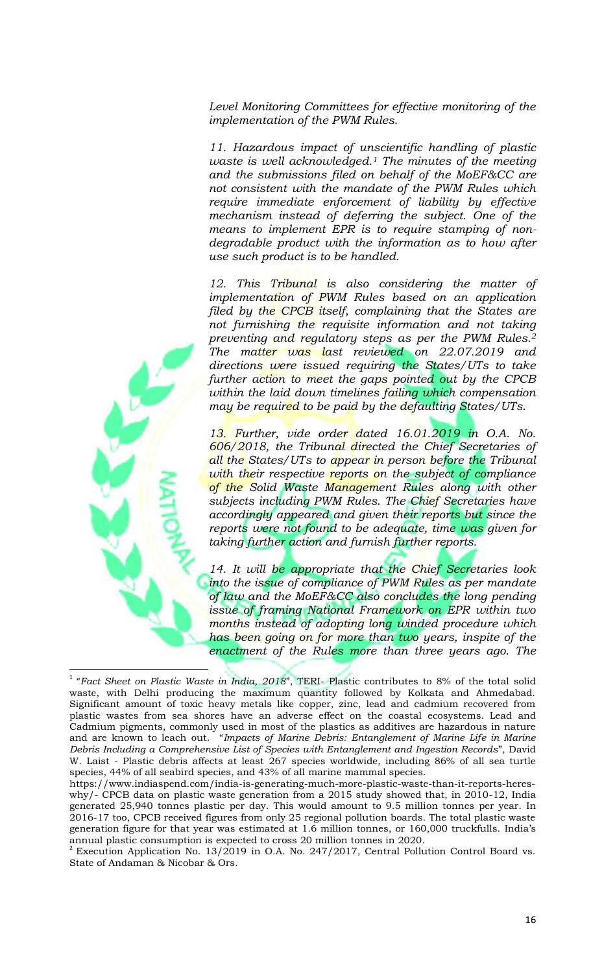Level Monitoring Committees for effective monitoring of the implementation of the PWM Rules.

11. Hazardous impact of unscientific handling of plastic waste is well acknowledged.<sup>1</sup> The minutes of the meeting and the submissions filed on behalf of the MoEF&CC are not consistent with the mandate of the PWM Rules which require immediate enforcement of liability by effective mechanism instead of deferring the subject. One of the means to implement EPR is to require stamping of nondegradable product with the information as to how after use such product is to be handled.

12. This Tribunal is also considering the matter of implementation of PWM Rules based on an application filed by the CPCB itself, complaining that the States are not furnishing the requisite information and not taking preventing and regulatory steps as per the PWM Rules.<sup>2</sup> The matter was last reviewed on 22.07.2019 and directions were issued requiring the States/UTs to take further action to meet the gaps pointed out by the CPCB within the laid down timelines failing which compensation may be required to be paid by the defaulting States/UTs.

13. Further, vide order dated 16.01.2019 in O.A. No. 606/2018, the Tribunal directed the Chief Secretaries of all the States/UTs to appear in person before the Tribunal with their respective reports on the subject of compliance of the Solid Waste Management Rules along with other subjects including PWM Rules. The Chief Secretaries have accordingly appeared and given their reports but since the reports were not found to be adequate, time was given for taking further action and furnish further reports.

14. It will be appropriate that the Chief Secretaries look into the issue of compliance of PWM Rules as per mandate of law and the MoEF&CC also concludes the long pending issue of framing National Framework on EPR within two months instead of adopting long winded procedure which has been going on for more than two years, inspite of the enactment of the Rules more than three years ago. The



<sup>&</sup>lt;sup>1</sup> "Fact Sheet on Plastic Waste in India, 2018", TERI- Plastic contributes to 8% of the total solid waste, with Delhi producing the maximum quantity followed by Kolkata and Ahmedabad. Significant amount of toxic heavy metals like copper, zinc, lead and cadmium recovered from plastic wastes from sea shores have an adverse effect on the coastal ecosystems. Lead and Cadmium pigments, commonly used in most of the plastics as additives are hazardous in nature and are known to leach out. "Impacts of Marine Debris: Entanglement of Marine Life in Marine Debris Including a Comprehensive List of Species with Entanglement and Ingestion Records", David W. Laist - Plastic debris affects at least 267 species worldwide, including 86% of all sea turtle species, 44% of all seabird species, and 43% of all marine mammal species.

https://www.indiaspend.com/india-is-generating-much-more-plastic-waste-than-it-reports-hereswhy/- CPCB data on plastic waste generation from a 2015 study showed that, in 2010-12, India generated 25,940 tonnes plastic per day. This would amount to 9.5 million tonnes per year. In 2016-17 too, CPCB received figures from only 25 regional pollution boards. The total plastic waste generation figure for that year was estimated at 1.6 million tonnes, or 160,000 truckfulls. India's annual plastic consumption is expected to cross 20 million tonnes in 2020.<br><sup>2</sup> Execution Application No. 13/2019 in O.A. No. 247/2017, Central Pollution Control Board vs.

State of Andaman & Nicobar & Ors.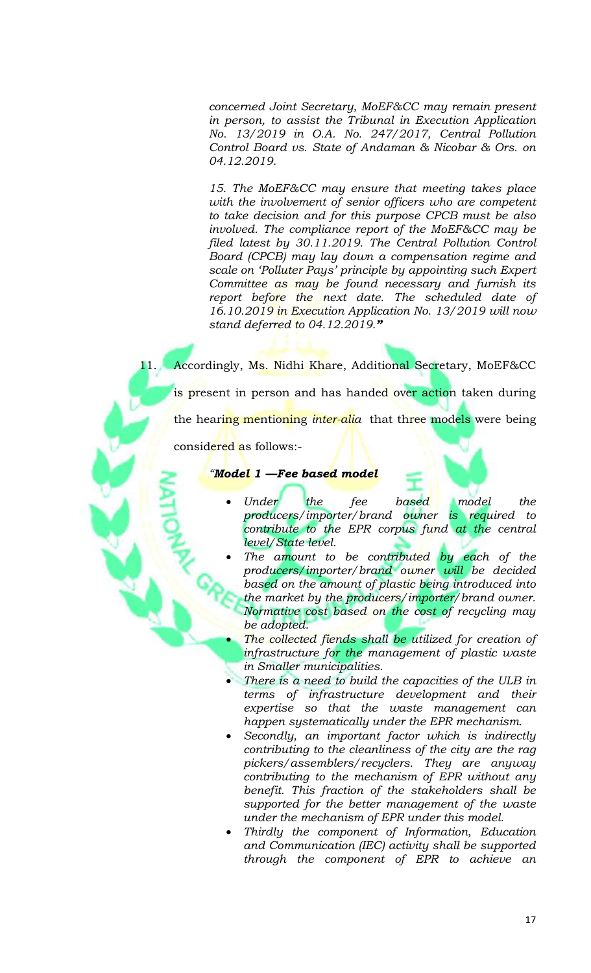concerned Joint Secretary, MoEF&CC may remain present in person, to assist the Tribunal in Execution Application No. 13/2019 in O.A. No. 247/2017, Central Pollution Control Board vs. State of Andaman & Nicobar & Ors. on 04.12.2019.

15. The MoEF&CC may ensure that meeting takes place with the involvement of senior officers who are competent to take decision and for this purpose CPCB must be also involved. The compliance report of the MoEF&CC may be filed latest by 30.11.2019. The Central Pollution Control Board (CPCB) may lay down a compensation regime and scale on 'Polluter Pays' principle by appointing such Expert Committee as may be found necessary and furnish its report before the next date. The scheduled date of 16.10.2019 in Execution Application No. 13/2019 will now stand deferred to  $04.12.2019$ ."

Accordingly, Ms. Nidhi Khare, Additional Secretary, MoEF&CC is present in person and has handed over action taken during the hearing mentioning *inter-alia* that three models were being

considered as follows:-

11. . .

<u> "Model 1 —Fee based model</u>

- based Under the fee model the producers/importer/brand owner is required to contribute to the EPR corpus fund at the central level/State level.
- The amount to be contributed by each of the producers/importer/brand owner will be decided based on the amount of plastic being introduced into the market by the producers/importer/brand owner. Normative cost based on the cost of recycling may be adopted.
- The collected fiends shall be utilized for creation of infrastructure for the management of plastic waste in Smaller municipalities.
- There is a need to build the capacities of the ULB in terms of infrastructure development and their expertise so that the waste management can happen systematically under the EPR mechanism.
- Secondly, an important factor which is indirectly contributing to the cleanliness of the city are the rag pickers/assemblers/recyclers. They are anyway contributing to the mechanism of EPR without any benefit. This fraction of the stakeholders shall be supported for the better management of the waste under the mechanism of EPR under this model.
- Thirdly the component of Information, Education and Communication (IEC) activity shall be supported through the component of EPR to achieve an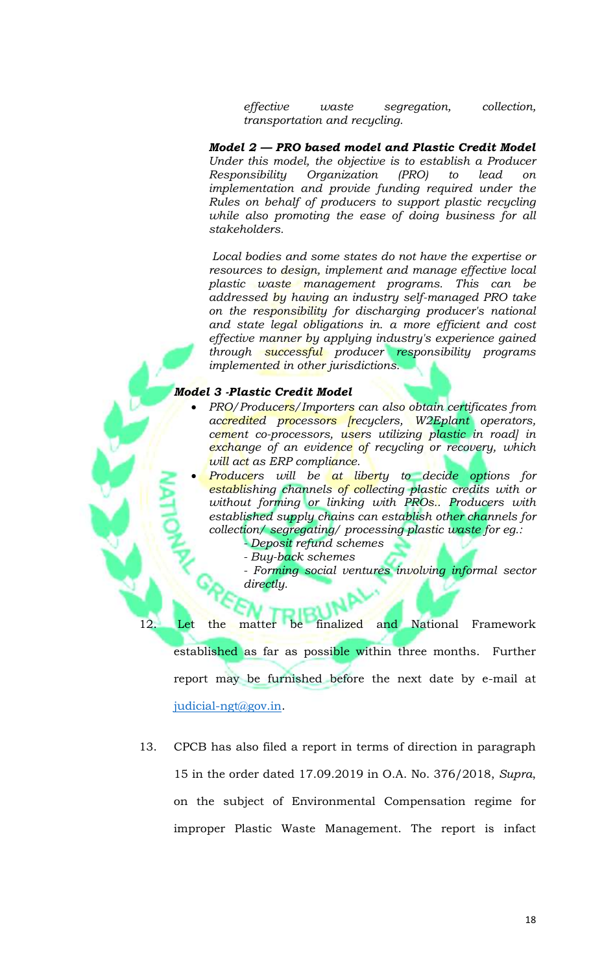effective segregation, collection, waste transportation and recycling.

Model 2 - PRO based model and Plastic Credit Model Under this model, the objective is to establish a Producer Responsibility Organization  $(PRO)$  $to$ lead  $\overline{on}$ implementation and provide funding required under the Rules on behalf of producers to support plastic recycling while also promoting the ease of doing business for all stakeholders.

Local bodies and some states do not have the expertise or resources to design, implement and manage effective local plastic waste management programs. This can be addressed by having an industry self-managed PRO take on the responsibility for discharging producer's national and state legal obligations in. a more efficient and cost effective manner by applying industry's experience gained through successful producer responsibility programs *implemented in other jurisdictions.* 

#### **Model 3 -Plastic Credit Model**

 $12<sub>1</sub>$ 

- PRO/Producers/Importers can also obtain certificates from accredited processors recyclers, W2Eplant operators, cement co-processors, users utilizing plastic in road) in exchange of an evidence of recycling or recovery, which will act as ERP compliance.
	- Producers will be at liberty to decide options for establishing channels of collecting plastic credits with or without forming or linking with PROs.. Producers with established supply chains can establish other channels for collection/ segregating/ processing plastic waste for eg.:
		- Deposit refund schemes
		- Buy-back schemes

- Forming social ventures involving informal sector directly.

matter be finalized and National Framework Let the established as far as possible within three months. Further report may be furnished before the next date by e-mail at judicial-ngt@gov.in.

13. CPCB has also filed a report in terms of direction in paragraph 15 in the order dated 17.09.2019 in O.A. No. 376/2018, Supra, on the subject of Environmental Compensation regime for improper Plastic Waste Management. The report is infact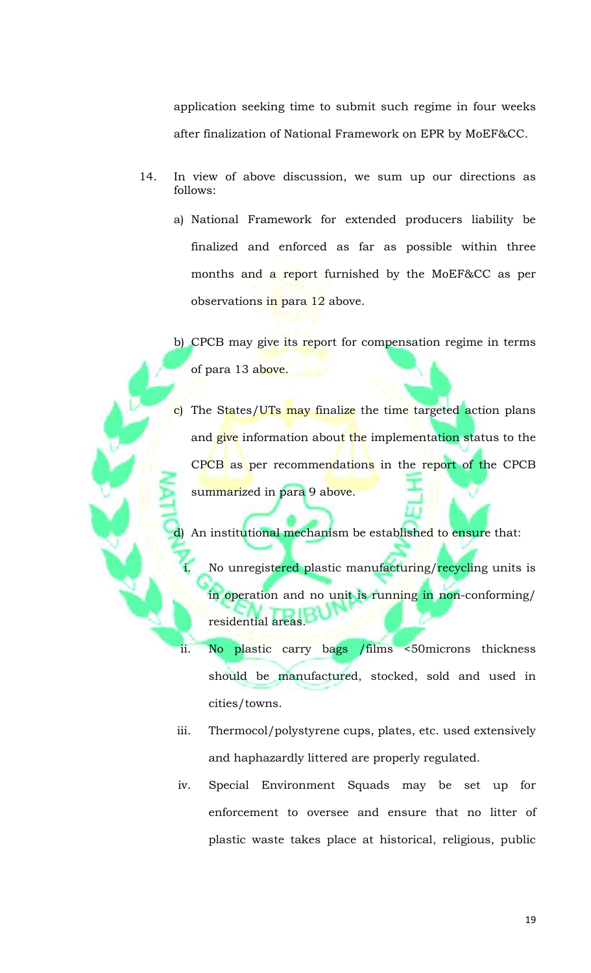application seeking time to submit such regime in four weeks after finalization of National Framework on EPR by MoEF&CC.

- 14. In view of above discussion, we sum up our directions as follows:
	- a) National Framework for extended producers liability be finalized and enforced as far as possible within three months and a report furnished by the MoEF&CC as per observations in para 12 above.
	- b) CPCB may give its report for compensation regime in terms of para 13 above.
	- c) The States/UTs may finalize the time targeted action plans and give information about the implementation status to the CPCB as per recommendations in the report of the CPCB summarized in para 9 above.

An institutional mechanism be established to ensure that:

- No unregistered plastic manufacturing/recycling units is in operation and no unit is running in non-conforming/ residential areas.
- No plastic carry bags /films <50microns thickness should be manufactured, stocked, sold and used in cities/towns.

ii.

- iii. Thermocol/polystyrene cups, plates, etc. used extensively and haphazardly littered are properly regulated.
- Special Environment Squads may be set up for iv. enforcement to oversee and ensure that no litter of plastic waste takes place at historical, religious, public